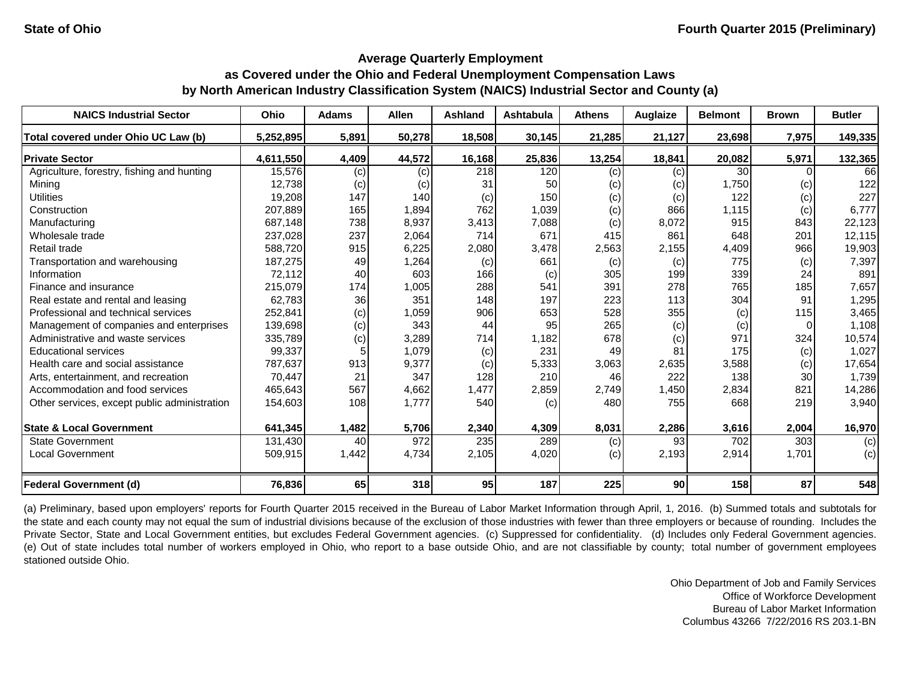| <b>NAICS Industrial Sector</b>               | Ohio      | <b>Adams</b> | <b>Allen</b> | <b>Ashland</b> | <b>Ashtabula</b> | <b>Athens</b> | Auglaize | <b>Belmont</b> | <b>Brown</b> | <b>Butler</b> |
|----------------------------------------------|-----------|--------------|--------------|----------------|------------------|---------------|----------|----------------|--------------|---------------|
| Total covered under Ohio UC Law (b)          | 5,252,895 | 5,891        | 50,278       | 18,508         | 30,145           | 21,285        | 21,127   | 23,698         | 7,975        | 149,335       |
| <b>Private Sector</b>                        | 4.611.550 | 4,409        | 44,572       | 16,168         | 25,836           | 13,254        | 18,841   | 20,082         | 5,971        | 132,365       |
| Agriculture, forestry, fishing and hunting   | 15,576    | (c)          | (c)          | 218            | 120              | (c)           | (c)      | 30             |              | 66            |
| Mining                                       | 12,738    | (c)          | (c)          | 31             | 50               | (c)           | (c)      | 1,750          | (c)          | 122           |
| <b>Utilities</b>                             | 19,208    | 147          | 140          | (c)            | 150              | (c)           | (c)      | 122            | (c)          | 227           |
| Construction                                 | 207,889   | 165          | 1,894        | 762            | 1,039            | (c)           | 866      | 1,115          | (c)          | 6,777         |
| Manufacturing                                | 687,148   | 738          | 8,937        | 3,413          | 7,088            | (c)           | 8,072    | 915            | 843          | 22,123        |
| Wholesale trade                              | 237,028   | 237          | 2,064        | 714            | 671              | 415           | 861      | 648            | 201          | 12,115        |
| Retail trade                                 | 588,720   | 915          | 6,225        | 2,080          | 3,478            | 2,563         | 2,155    | 4,409          | 966          | 19,903        |
| Transportation and warehousing               | 187,275   | 49           | 1,264        | (c)            | 661              | (c)           | (c)      | 775            | (c)          | 7,397         |
| Information                                  | 72,112    | 40           | 603          | 166            | (c)              | 305           | 199      | 339            | 24           | 891           |
| Finance and insurance                        | 215,079   | 174          | 1,005        | 288            | 541              | 391           | 278      | 765            | 185          | 7,657         |
| Real estate and rental and leasing           | 62,783    | 36           | 351          | 148            | 197              | 223           | 113      | 304            | 91           | 1,295         |
| Professional and technical services          | 252,841   | (c)          | 1,059        | 906            | 653              | 528           | 355      | (c)            | 115          | 3,465         |
| Management of companies and enterprises      | 139,698   | (c)          | 343          | 44             | 95               | 265           | (c)      | (c)            |              | 1,108         |
| Administrative and waste services            | 335,789   | (c)          | 3,289        | 714            | 1,182            | 678           | (c)      | 971            | 324          | 10,574        |
| <b>Educational services</b>                  | 99,337    |              | 1,079        | (c)            | 231              | 49            | 81       | 175            | (c)          | 1,027         |
| Health care and social assistance            | 787,637   | 913          | 9,377        | (c)            | 5,333            | 3,063         | 2,635    | 3,588          | (c)          | 17,654        |
| Arts, entertainment, and recreation          | 70,447    | 21           | 347          | 128            | 210              | 46            | 222      | 138            | 30           | 1,739         |
| Accommodation and food services              | 465,643   | 567          | 4,662        | 1,477          | 2,859            | 2,749         | 1,450    | 2,834          | 821          | 14,286        |
| Other services, except public administration | 154,603   | 108          | 1,777        | 540            | (c)              | 480           | 755      | 668            | 219          | 3,940         |
| <b>State &amp; Local Government</b>          | 641,345   | 1,482        | 5,706        | 2,340          | 4,309            | 8,031         | 2,286    | 3,616          | 2,004        | 16,970        |
| <b>State Government</b>                      | 131,430   | 40           | 972          | 235            | 289              | (c)           | 93       | 702            | 303          | (c)           |
| <b>Local Government</b>                      | 509,915   | 1,442        | 4,734        | 2,105          | 4,020            | (c)           | 2,193    | 2,914          | 1,701        | (c)           |
| <b>Federal Government (d)</b>                | 76,836    | 65           | 318          | 95             | 187              | 225           | 90       | 158            | 87           | 548           |

(a) Preliminary, based upon employers' reports for Fourth Quarter 2015 received in the Bureau of Labor Market Information through April, 1, 2016. (b) Summed totals and subtotals for the state and each county may not equal the sum of industrial divisions because of the exclusion of those industries with fewer than three employers or because of rounding. Includes the Private Sector, State and Local Government entities, but excludes Federal Government agencies. (c) Suppressed for confidentiality. (d) Includes only Federal Government agencies. (e) Out of state includes total number of workers employed in Ohio, who report to a base outside Ohio, and are not classifiable by county; total number of government employees stationed outside Ohio.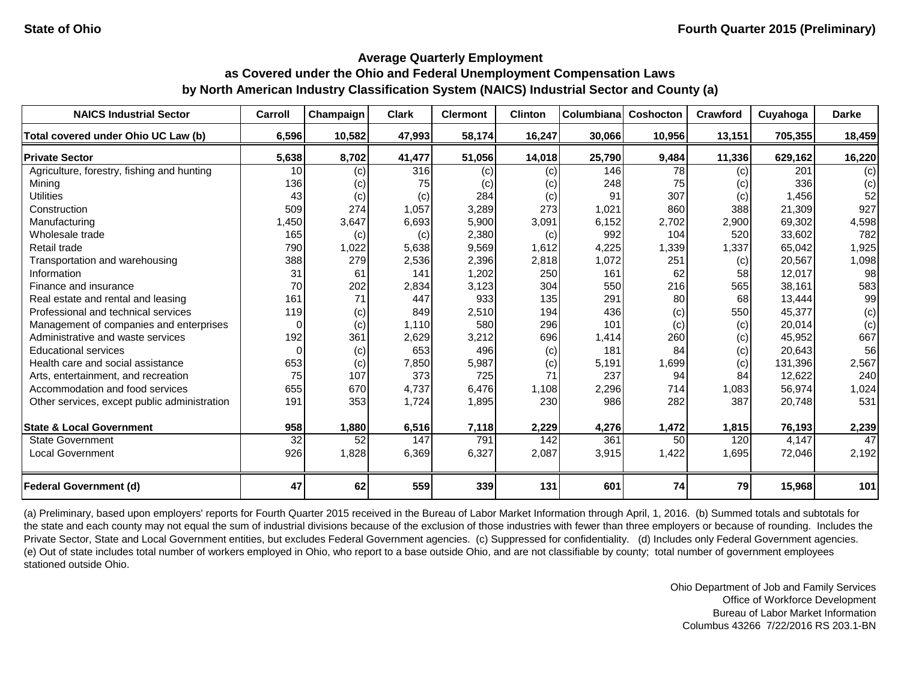| <b>NAICS Industrial Sector</b>               | Carroll  | Champaign | <b>Clark</b> | <b>Clermont</b> | <b>Clinton</b> | Columbiana | Coshocton | <b>Crawford</b> | Cuyahoga | <b>Darke</b> |
|----------------------------------------------|----------|-----------|--------------|-----------------|----------------|------------|-----------|-----------------|----------|--------------|
| Total covered under Ohio UC Law (b)          | 6,596    | 10,582    | 47,993       | 58,174          | 16,247         | 30,066     | 10,956    | 13,151          | 705,355  | 18,459       |
| <b>Private Sector</b>                        | 5,638    | 8,702     | 41,477       | 51,056          | 14,018         | 25,790     | 9,484     | 11,336          | 629,162  | 16,220       |
| Agriculture, forestry, fishing and hunting   | 10       | (c)       | 316          | (c)             | (c)            | 146        | 78        | (c)             | 201      | (c)          |
| Mining                                       | 136      | (c)       | 75           | (c)             | (c)            | 248        | 75        | (c)             | 336      | (c)          |
| <b>Utilities</b>                             | 43       | (c)       | (c)          | 284             | (c)            | 91         | 307       | (c)             | 1,456    | 52           |
| Construction                                 | 509      | 274       | 1,057        | 3,289           | 273            | 1,021      | 860       | 388             | 21,309   | 927          |
| Manufacturing                                | 1,450    | 3,647     | 6,693        | 5,900           | 3,091          | 6,152      | 2,702     | 2,900           | 69,302   | 4,598        |
| Wholesale trade                              | 165      | (c)       | (c)          | 2,380           | (c)            | 992        | 104       | 520             | 33.602   | 782          |
| Retail trade                                 | 790      | 1,022     | 5,638        | 9,569           | 1,612          | 4,225      | 1,339     | 1,337           | 65,042   | 1,925        |
| Transportation and warehousing               | 388      | 279       | 2,536        | 2,396           | 2,818          | 1,072      | 251       | (c)             | 20,567   | 1,098        |
| Information                                  | 31       | 61        | 141          | 1,202           | 250            | 161        | 62        | 58              | 12,017   | 98           |
| Finance and insurance                        | 70       | 202       | 2,834        | 3,123           | 304            | 550        | 216       | 565             | 38,161   | 583          |
| Real estate and rental and leasing           | 161      | 71        | 447          | 933             | 135            | 291        | 80        | 68              | 13.444   | 99           |
| Professional and technical services          | 119      | (c)       | 849          | 2,510           | 194            | 436        | (c)       | 550             | 45,377   | (c)          |
| Management of companies and enterprises      | $\Omega$ | (c)       | 1,110        | 580             | 296            | 101        | (c)       | (c)             | 20,014   | (c)          |
| Administrative and waste services            | 192      | 361       | 2,629        | 3,212           | 696            | 1,414      | 260       | (c)             | 45,952   | 667          |
| <b>Educational services</b>                  | $\Omega$ | (c)       | 653          | 496             | (c)            | 181        | 84        | (c)             | 20,643   | 56           |
| Health care and social assistance            | 653      | (c)       | 7,850        | 5,987           | (c)            | 5,191      | 1,699     | (c)             | 131,396  | 2,567        |
| Arts, entertainment, and recreation          | 75       | 107       | 373          | 725             | 71             | 237        | 94        | 84              | 12,622   | 240          |
| Accommodation and food services              | 655      | 670       | 4,737        | 6,476           | 1,108          | 2,296      | 714       | 1,083           | 56,974   | 1,024        |
| Other services, except public administration | 191      | 353       | 1,724        | 1,895           | 230            | 986        | 282       | 387             | 20,748   | 531          |
| <b>State &amp; Local Government</b>          | 958      | 1,880     | 6,516        | 7,118           | 2,229          | 4,276      | 1,472     | 1,815           | 76,193   | 2,239        |
| <b>State Government</b>                      | 32       | 52        | 147          | 791             | 142            | 361        | 50        | 120             | 4,147    | 47           |
| <b>Local Government</b>                      | 926      | 1,828     | 6,369        | 6,327           | 2,087          | 3,915      | 1,422     | 1,695           | 72,046   | 2,192        |
|                                              |          |           |              |                 |                |            |           |                 |          |              |
| <b>Federal Government (d)</b>                | 47       | 62        | 559          | 339             | 131            | 601        | 74        | 79              | 15,968   | 101          |

(a) Preliminary, based upon employers' reports for Fourth Quarter 2015 received in the Bureau of Labor Market Information through April, 1, 2016. (b) Summed totals and subtotals for the state and each county may not equal the sum of industrial divisions because of the exclusion of those industries with fewer than three employers or because of rounding. Includes the Private Sector, State and Local Government entities, but excludes Federal Government agencies. (c) Suppressed for confidentiality. (d) Includes only Federal Government agencies. (e) Out of state includes total number of workers employed in Ohio, who report to a base outside Ohio, and are not classifiable by county; total number of government employees stationed outside Ohio.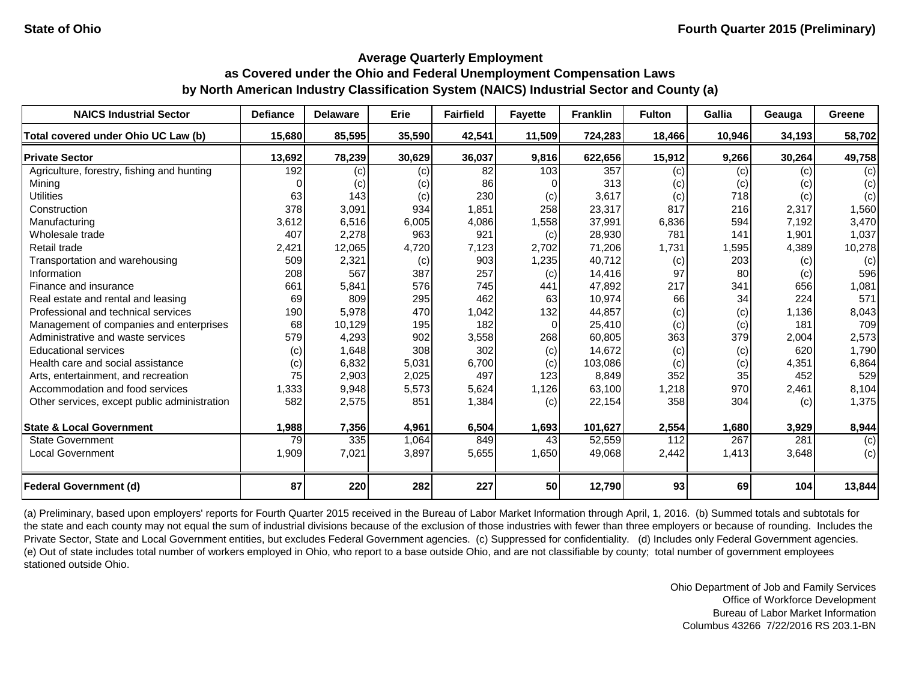| <b>NAICS Industrial Sector</b>               | <b>Defiance</b> | <b>Delaware</b> | Erie   | <b>Fairfield</b> | <b>Fayette</b> | <b>Franklin</b> | <b>Fulton</b> | <b>Gallia</b> | Geauga | Greene |
|----------------------------------------------|-----------------|-----------------|--------|------------------|----------------|-----------------|---------------|---------------|--------|--------|
| Total covered under Ohio UC Law (b)          | 15,680          | 85,595          | 35,590 | 42,541           | 11,509         | 724,283         | 18,466        | 10,946        | 34,193 | 58,702 |
| <b>Private Sector</b>                        | 13,692          | 78,239          | 30,629 | 36,037           | 9,816          | 622,656         | 15,912        | 9,266         | 30,264 | 49,758 |
| Agriculture, forestry, fishing and hunting   | 192             | (c)             | (c)    | 82               | 103            | 357             | (c)           | (c)           | (c)    | (c)    |
| Mining                                       |                 | (c)             | (c)    | 86               |                | 313             | (c)           | (c)           | (c)    | (c)    |
| <b>Utilities</b>                             | 63              | 143             | (c)    | 230              | (c)            | 3,617           | (c)           | 718           | (c)    | (c)    |
| Construction                                 | 378             | 3,091           | 934    | 1,851            | 258            | 23,317          | 817           | 216           | 2,317  | 1,560  |
| Manufacturing                                | 3,612           | 6,516           | 6,005  | 4,086            | 1,558          | 37,991          | 6,836         | 594           | 7,192  | 3,470  |
| Wholesale trade                              | 407             | 2,278           | 963    | 921              | (c)            | 28,930          | 781           | 141           | 1,901  | 1,037  |
| Retail trade                                 | 2,421           | 12,065          | 4,720  | 7,123            | 2,702          | 71,206          | 1,731         | 1,595         | 4,389  | 10,278 |
| Transportation and warehousing               | 509             | 2,321           | (c)    | 903              | 1,235          | 40,712          | (c)           | 203           | (c)    | (c)    |
| Information                                  | 208             | 567             | 387    | 257              | (c)            | 14,416          | 97            | 80            | (c)    | 596    |
| Finance and insurance                        | 661             | 5,841           | 576    | 745              | 441            | 47,892          | 217           | 341           | 656    | 1,081  |
| Real estate and rental and leasing           | 69              | 809             | 295    | 462              | 63             | 10,974          | 66            | 34            | 224    | 571    |
| Professional and technical services          | 190             | 5,978           | 470    | 1,042            | 132            | 44,857          | (c)           | (c)           | 1,136  | 8,043  |
| Management of companies and enterprises      | 68              | 10,129          | 195    | 182              | 0              | 25,410          | (c)           | (c)           | 181    | 709    |
| Administrative and waste services            | 579             | 4,293           | 902    | 3,558            | 268            | 60,805          | 363           | 379           | 2,004  | 2,573  |
| <b>Educational services</b>                  | (c)             | 1,648           | 308    | 302              | (c)            | 14,672          | (c)           | (c)           | 620    | 1,790  |
| Health care and social assistance            | (c)             | 6,832           | 5,031  | 6,700            | (c)            | 103,086         | (c)           | (c)           | 4,351  | 6,864  |
| Arts, entertainment, and recreation          | 75              | 2,903           | 2,025  | 497              | 123            | 8,849           | 352           | 35            | 452    | 529    |
| Accommodation and food services              | 1,333           | 9,948           | 5,573  | 5,624            | 1,126          | 63,100          | 1,218         | 970           | 2,461  | 8,104  |
| Other services, except public administration | 582             | 2,575           | 851    | 1,384            | (c)            | 22,154          | 358           | 304           | (c)    | 1,375  |
| <b>State &amp; Local Government</b>          | 1,988           | 7,356           | 4,961  | 6,504            | 1,693          | 101,627         | 2,554         | 1,680         | 3,929  | 8,944  |
| <b>State Government</b>                      | 79              | 335             | 1,064  | 849              | 43             | 52,559          | 112           | 267           | 281    | (c)    |
| <b>Local Government</b>                      | 1,909           | 7,021           | 3,897  | 5,655            | 1,650          | 49,068          | 2,442         | 1,413         | 3,648  | (c)    |
|                                              |                 |                 |        |                  |                |                 |               |               |        |        |
| <b>Federal Government (d)</b>                | 87              | 220             | 282    | 227              | 50             | 12,790          | 93            | 69            | 104    | 13,844 |

(a) Preliminary, based upon employers' reports for Fourth Quarter 2015 received in the Bureau of Labor Market Information through April, 1, 2016. (b) Summed totals and subtotals for the state and each county may not equal the sum of industrial divisions because of the exclusion of those industries with fewer than three employers or because of rounding. Includes the Private Sector, State and Local Government entities, but excludes Federal Government agencies. (c) Suppressed for confidentiality. (d) Includes only Federal Government agencies. (e) Out of state includes total number of workers employed in Ohio, who report to a base outside Ohio, and are not classifiable by county; total number of government employees stationed outside Ohio.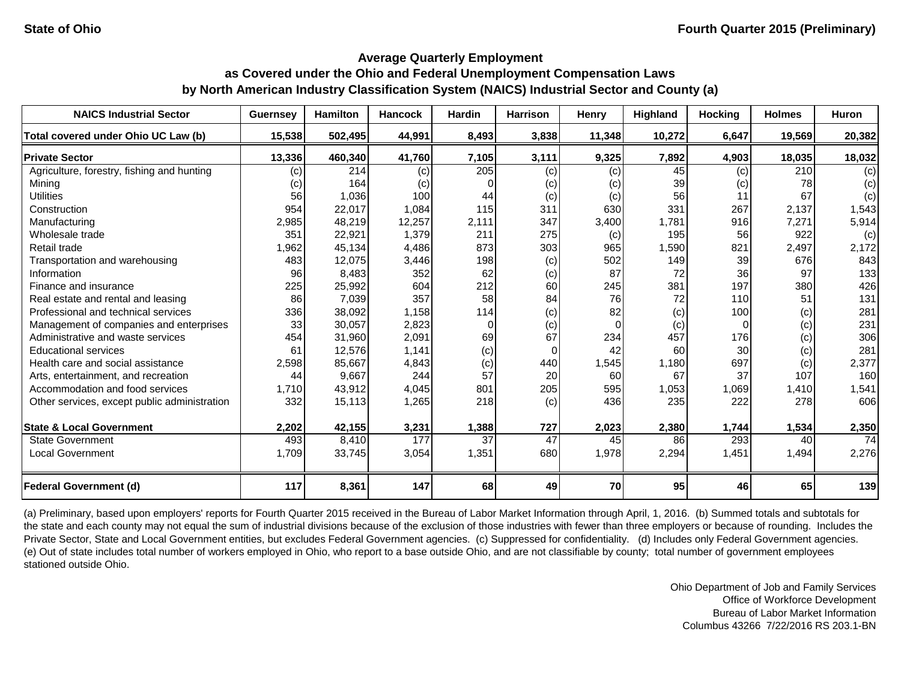| <b>NAICS Industrial Sector</b>               | <b>Guernsey</b> | <b>Hamilton</b> | <b>Hancock</b> | <b>Hardin</b> | <b>Harrison</b> | Henry          | Highland | <b>Hocking</b> | <b>Holmes</b> | Huron  |
|----------------------------------------------|-----------------|-----------------|----------------|---------------|-----------------|----------------|----------|----------------|---------------|--------|
| Total covered under Ohio UC Law (b)          | 15,538          | 502,495         | 44,991         | 8,493         | 3,838           | 11,348         | 10,272   | 6,647          | 19,569        | 20,382 |
| <b>Private Sector</b>                        | 13,336          | 460,340         | 41,760         | 7,105         | 3,111           | 9,325          | 7,892    | 4,903          | 18,035        | 18,032 |
| Agriculture, forestry, fishing and hunting   | (c)             | 214             | (c)            | 205           | (c)             | (c)            | 45       | (c)            | 210           | (c)    |
| Mining                                       | (c)             | 164             | (c)            |               | (c)             | (c)            | 39       | (c)            | 78            | (c)    |
| <b>Utilities</b>                             | 56              | 1,036           | 100            | 44            | (c)             | (c)            | 56       | 11             | 67            | (c)    |
| Construction                                 | 954             | 22,017          | 1,084          | 115           | 311             | 630            | 331      | 267            | 2,137         | 1,543  |
| Manufacturing                                | 2,985           | 48,219          | 12,257         | 2,111         | 347             | 3,400          | 1,781    | 916            | 7,271         | 5,914  |
| Wholesale trade                              | 351             | 22,921          | 1,379          | 211           | 275             | (c)            | 195      | 56             | 922           | (c)    |
| Retail trade                                 | 1,962           | 45,134          | 4,486          | 873           | 303             | 965            | 1,590    | 821            | 2,497         | 2,172  |
| Transportation and warehousing               | 483             | 12,075          | 3,446          | 198           | (c)             | 502            | 149      | 39             | 676           | 843    |
| Information                                  | 96              | 8,483           | 352            | 62            | (c)             | 87             | 72       | 36             | 97            | 133    |
| Finance and insurance                        | 225             | 25,992          | 604            | 212           | 60              | 245            | 381      | 197            | 380           | 426    |
| Real estate and rental and leasing           | 86              | 7,039           | 357            | 58            | 84              | 76             | 72       | 110            | 51            | 131    |
| Professional and technical services          | 336             | 38,092          | 1,158          | 114           | (c)             | 82             | (c)      | 100            | (c)           | 281    |
| Management of companies and enterprises      | 33              | 30,057          | 2,823          | 0             | (c)             | $\overline{0}$ | (c)      | $\Omega$       | (c)           | 231    |
| Administrative and waste services            | 454             | 31,960          | 2,091          | 69            | 67              | 234            | 457      | 176            | (c)           | 306    |
| <b>Educational services</b>                  | 61              | 12,576          | 1.141          | (c)           | 0               | 42             | 60       | 30             | (c)           | 281    |
| Health care and social assistance            | 2,598           | 85,667          | 4,843          | (c)           | 440             | 1,545          | 1,180    | 697            | (c)           | 2,377  |
| Arts, entertainment, and recreation          | 44              | 9,667           | 244            | 57            | 20              | 60             | 67       | 37             | 107           | 160    |
| Accommodation and food services              | 1,710           | 43,912          | 4,045          | 801           | 205             | 595            | 1,053    | 1,069          | 1,410         | 1,541  |
| Other services, except public administration | 332             | 15,113          | 1,265          | 218           | (c)             | 436            | 235      | 222            | 278           | 606    |
| <b>State &amp; Local Government</b>          | 2,202           | 42,155          | 3,231          | 1,388         | 727             | 2,023          | 2,380    | 1,744          | 1,534         | 2,350  |
| <b>State Government</b>                      | 493             | 8,410           | 177            | 37            | 47              | 45             | 86       | 293            | 40            | 74     |
| <b>Local Government</b>                      | 1,709           | 33,745          | 3,054          | 1,351         | 680             | 1,978          | 2,294    | 1,451          | 1,494         | 2,276  |
| <b>Federal Government (d)</b>                | 117             | 8,361           | 147            | 68            | 49              | 70             | 95       | 46             | 65            | 139    |

(a) Preliminary, based upon employers' reports for Fourth Quarter 2015 received in the Bureau of Labor Market Information through April, 1, 2016. (b) Summed totals and subtotals for the state and each county may not equal the sum of industrial divisions because of the exclusion of those industries with fewer than three employers or because of rounding. Includes the Private Sector, State and Local Government entities, but excludes Federal Government agencies. (c) Suppressed for confidentiality. (d) Includes only Federal Government agencies. (e) Out of state includes total number of workers employed in Ohio, who report to a base outside Ohio, and are not classifiable by county; total number of government employees stationed outside Ohio.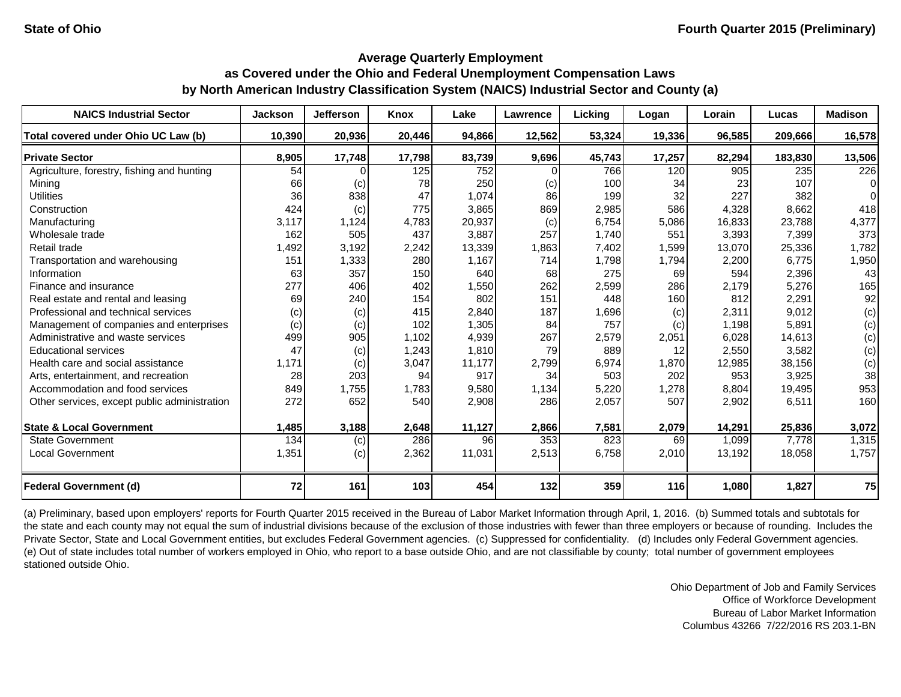| <b>NAICS Industrial Sector</b>               | <b>Jackson</b> | <b>Jefferson</b> | Knox   | Lake   | <b>Lawrence</b> | Lickina | Logan  | Lorain | Lucas   | <b>Madison</b> |
|----------------------------------------------|----------------|------------------|--------|--------|-----------------|---------|--------|--------|---------|----------------|
| Total covered under Ohio UC Law (b)          | 10,390         | 20,936           | 20,446 | 94,866 | 12,562          | 53,324  | 19,336 | 96,585 | 209,666 | 16,578         |
| <b>Private Sector</b>                        | 8,905          | 17,748           | 17,798 | 83,739 | 9,696           | 45,743  | 17,257 | 82,294 | 183,830 | 13,506         |
| Agriculture, forestry, fishing and hunting   | 54             |                  | 125    | 752    |                 | 766     | 120    | 905    | 235     | 226            |
| Mining                                       | 66             | (c)              | 78     | 250    | (c)             | 100     | 34     | 23     | 107     | $\Omega$       |
| <b>Utilities</b>                             | 36             | 838              | 47     | 1,074  | 86              | 199     | 32     | 227    | 382     | $\Omega$       |
| Construction                                 | 424            | (c)              | 775    | 3,865  | 869             | 2,985   | 586    | 4,328  | 8,662   | 418            |
| Manufacturing                                | 3,117          | 1,124            | 4,783  | 20,937 | (c)             | 6,754   | 5,086  | 16,833 | 23,788  | 4,377          |
| Wholesale trade                              | 162            | 505              | 437    | 3,887  | 257             | 1,740   | 551    | 3,393  | 7,399   | 373            |
| Retail trade                                 | 1,492          | 3,192            | 2,242  | 13,339 | 1,863           | 7,402   | 1,599  | 13,070 | 25,336  | 1,782          |
| Transportation and warehousing               | 151            | 1,333            | 280    | 1,167  | 714             | 1,798   | 1,794  | 2,200  | 6,775   | 1,950          |
| Information                                  | 63             | 357              | 150    | 640    | 68              | 275     | 69     | 594    | 2,396   | 43             |
| Finance and insurance                        | 277            | 406              | 402    | 1,550  | 262             | 2,599   | 286    | 2,179  | 5,276   | 165            |
| Real estate and rental and leasing           | 69             | 240              | 154    | 802    | 151             | 448     | 160    | 812    | 2,291   | 92             |
| Professional and technical services          | (c)            | (c)              | 415    | 2,840  | 187             | 1,696   | (c)    | 2,311  | 9,012   | (c)            |
| Management of companies and enterprises      | (c)            | (c)              | 102    | 1,305  | 84              | 757     | (c)    | 1,198  | 5,891   | (c)            |
| Administrative and waste services            | 499            | 905              | 1,102  | 4,939  | 267             | 2,579   | 2,051  | 6,028  | 14,613  | (c)            |
| <b>Educational services</b>                  | 47             | (c)              | 1,243  | 1,810  | 79              | 889     | 12     | 2,550  | 3,582   | (c)            |
| Health care and social assistance            | 1,171          | (c)              | 3,047  | 11,177 | 2,799           | 6,974   | 1,870  | 12,985 | 38,156  | (c)            |
| Arts, entertainment, and recreation          | 28             | 203              | 94     | 917    | 34              | 503     | 202    | 953    | 3,925   | 38             |
| Accommodation and food services              | 849            | 1,755            | 1,783  | 9,580  | 1,134           | 5,220   | 1,278  | 8,804  | 19,495  | 953            |
| Other services, except public administration | 272            | 652              | 540    | 2,908  | 286             | 2,057   | 507    | 2,902  | 6,511   | 160            |
| <b>State &amp; Local Government</b>          | 1,485          | 3,188            | 2,648  | 11,127 | 2,866           | 7,581   | 2,079  | 14,291 | 25,836  | 3,072          |
| <b>State Government</b>                      | 134            | (c)              | 286    | 96     | 353             | 823     | 69     | 1,099  | 7,778   | 1,315          |
| <b>Local Government</b>                      | 1,351          | (c)              | 2,362  | 11,031 | 2,513           | 6,758   | 2,010  | 13,192 | 18,058  | 1,757          |
| <b>Federal Government (d)</b>                | 72             | 161              | 103    | 454    | 132             | 359     | 116    | 1,080  | 1,827   | 75             |

(a) Preliminary, based upon employers' reports for Fourth Quarter 2015 received in the Bureau of Labor Market Information through April, 1, 2016. (b) Summed totals and subtotals for the state and each county may not equal the sum of industrial divisions because of the exclusion of those industries with fewer than three employers or because of rounding. Includes the Private Sector, State and Local Government entities, but excludes Federal Government agencies. (c) Suppressed for confidentiality. (d) Includes only Federal Government agencies. (e) Out of state includes total number of workers employed in Ohio, who report to a base outside Ohio, and are not classifiable by county; total number of government employees stationed outside Ohio.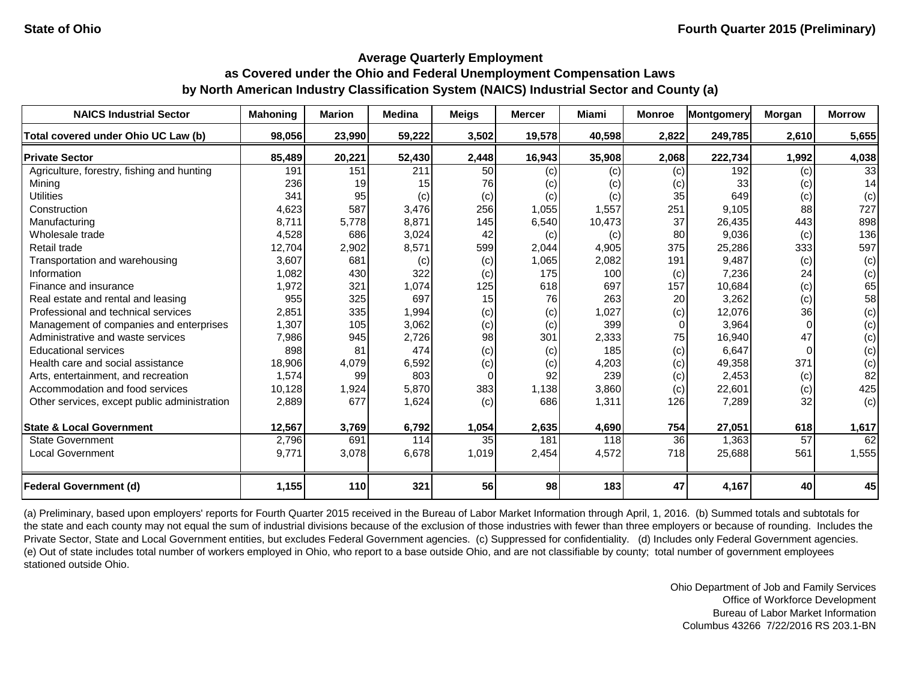| <b>NAICS Industrial Sector</b>               | <b>Mahoning</b> | <b>Marion</b> | <b>Medina</b> | Meigs | <b>Mercer</b> | Miami  | <b>Monroe</b> | Montgomery | Morgan   | <b>Morrow</b> |
|----------------------------------------------|-----------------|---------------|---------------|-------|---------------|--------|---------------|------------|----------|---------------|
| Total covered under Ohio UC Law (b)          | 98,056          | 23,990        | 59,222        | 3,502 | 19,578        | 40,598 | 2,822         | 249,785    | 2,610    | 5,655         |
| <b>Private Sector</b>                        | 85,489          | 20,221        | 52,430        | 2,448 | 16,943        | 35,908 | 2,068         | 222,734    | 1,992    | 4,038         |
| Agriculture, forestry, fishing and hunting   | 191             | 151           | 211           | 50    | (c)           | (c)    | (c)           | 192        | (c)      | 33            |
| Mining                                       | 236             | 19            | 15            | 76    | (c)           | (c)    | (c)           | 33         | (c)      | 14            |
| <b>Utilities</b>                             | 341             | 95            | (c)           | (c)   | (c)           | (c)    | 35            | 649        | (c)      | (c)           |
| Construction                                 | 4,623           | 587           | 3,476         | 256   | 1,055         | 1,557  | 251           | 9.105      | 88       | 727           |
| Manufacturing                                | 8,711           | 5,778         | 8,871         | 145   | 6,540         | 10,473 | 37            | 26,435     | 443      | 898           |
| Wholesale trade                              | 4,528           | 686           | 3,024         | 42    | (c)           | (c)    | 80            | 9,036      | (c)      | 136           |
| Retail trade                                 | 12,704          | 2,902         | 8,571         | 599   | 2,044         | 4,905  | 375           | 25,286     | 333      | 597           |
| Transportation and warehousing               | 3,607           | 681           | (c)           | (c)   | 1,065         | 2,082  | 191           | 9,487      | (c)      | (c)           |
| Information                                  | 1,082           | 430           | 322           | (c)   | 175           | 100    | (c)           | 7,236      | 24       | (c)           |
| Finance and insurance                        | 1,972           | 321           | 1,074         | 125   | 618           | 697    | 157           | 10,684     | (c)      | 65            |
| Real estate and rental and leasing           | 955             | 325           | 697           | 15    | 76            | 263    | 20            | 3,262      | (c)      | 58            |
| Professional and technical services          | 2,851           | 335           | 1,994         | (c)   | (c)           | 1,027  | (c)           | 12,076     | 36       | (c)           |
| Management of companies and enterprises      | 1,307           | 105           | 3,062         | (c)   | (c)           | 399    | $\Omega$      | 3,964      |          | (c)           |
| Administrative and waste services            | 7,986           | 945           | 2,726         | 98    | 301           | 2,333  | 75            | 16,940     | 47       | (c)           |
| <b>Educational services</b>                  | 898             | 81            | 474           | (c)   | (c)           | 185    | (c)           | 6,647      | $\Omega$ | (c)           |
| Health care and social assistance            | 18,906          | 4,079         | 6,592         | (c)   | (c)           | 4,203  | (c)           | 49,358     | 371      | (c)           |
| Arts, entertainment, and recreation          | 1,574           | 99            | 803           | 0     | 92            | 239    | (c)           | 2,453      | (c)      | 82            |
| Accommodation and food services              | 10,128          | 1,924         | 5,870         | 383   | 1,138         | 3,860  | (c)           | 22,601     | (c)      | 425           |
| Other services, except public administration | 2,889           | 677           | 1,624         | (c)   | 686           | 1,311  | 126           | 7,289      | 32       | (c)           |
| <b>State &amp; Local Government</b>          | 12,567          | 3,769         | 6,792         | 1,054 | 2,635         | 4,690  | 754           | 27,051     | 618      | 1,617         |
| <b>State Government</b>                      | 2,796           | 691           | 114           | 35    | 181           | 118    | 36            | 1,363      | 57       | 62            |
| <b>Local Government</b>                      | 9.771           | 3,078         | 6,678         | 1,019 | 2,454         | 4,572  | 718           | 25,688     | 561      | 1,555         |
| <b>Federal Government (d)</b>                | 1,155           | 110           | 321           | 56    | 98            | 183    | 47            | 4,167      | 40       | 45            |

(a) Preliminary, based upon employers' reports for Fourth Quarter 2015 received in the Bureau of Labor Market Information through April, 1, 2016. (b) Summed totals and subtotals for the state and each county may not equal the sum of industrial divisions because of the exclusion of those industries with fewer than three employers or because of rounding. Includes the Private Sector, State and Local Government entities, but excludes Federal Government agencies. (c) Suppressed for confidentiality. (d) Includes only Federal Government agencies. (e) Out of state includes total number of workers employed in Ohio, who report to a base outside Ohio, and are not classifiable by county; total number of government employees stationed outside Ohio.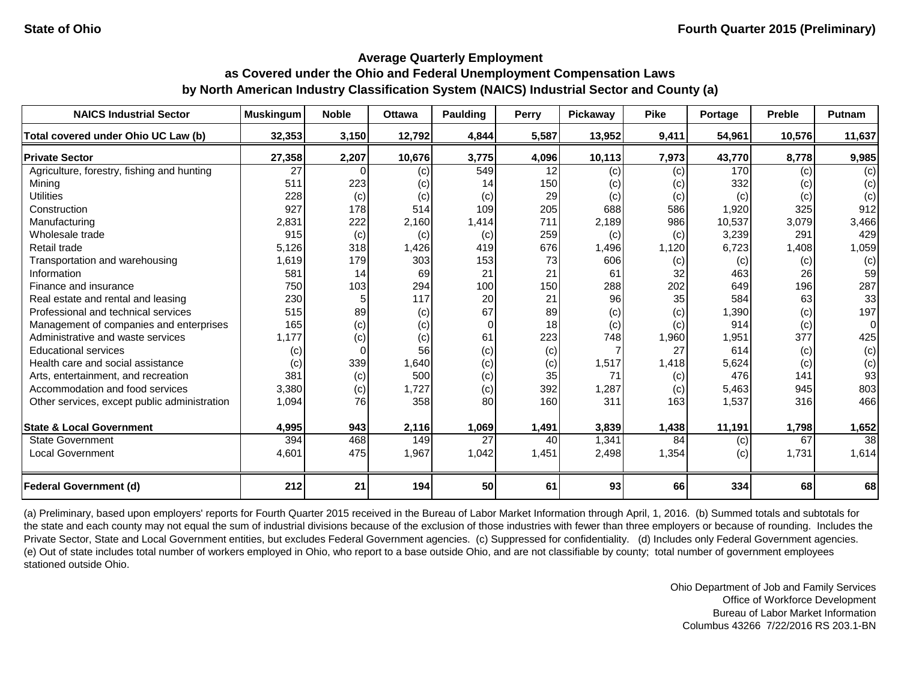| <b>NAICS Industrial Sector</b>               | <b>Muskingum</b> | <b>Noble</b> | <b>Ottawa</b> | Paulding | Perry | Pickaway | <b>Pike</b> | Portage | <b>Preble</b> | <b>Putnam</b>   |
|----------------------------------------------|------------------|--------------|---------------|----------|-------|----------|-------------|---------|---------------|-----------------|
| Total covered under Ohio UC Law (b)          | 32,353           | 3,150        | 12,792        | 4,844    | 5,587 | 13,952   | 9,411       | 54,961  | 10,576        | 11,637          |
| <b>Private Sector</b>                        | 27,358           | 2,207        | 10,676        | 3,775    | 4,096 | 10,113   | 7,973       | 43,770  | 8,778         | 9,985           |
| Agriculture, forestry, fishing and hunting   | 27               |              | (c)           | 549      | 12    | (c)      | (c)         | 170     | (c)           | (c)             |
| Mining                                       | 511              | 223          | (c)           | 14       | 150   | (c)      | (c)         | 332     | (c)           | (c)             |
| <b>Utilities</b>                             | 228              | (c)          | (c)           | (c)      | 29    | (c)      | (c)         | (c)     | (c)           | (c)             |
| Construction                                 | 927              | 178          | 514           | 109      | 205   | 688      | 586         | 1,920   | 325           | 912             |
| Manufacturing                                | 2,831            | 222          | 2,160         | 1,414    | 711   | 2,189    | 986         | 10,537  | 3,079         | 3,466           |
| Wholesale trade                              | 915              | (c)          | (c)           | (c)      | 259   | (c)      | (c)         | 3,239   | 291           | 429             |
| Retail trade                                 | 5,126            | 318          | 1,426         | 419      | 676   | 1,496    | 1,120       | 6,723   | 1,408         | 1,059           |
| Transportation and warehousing               | 1,619            | 179          | 303           | 153      | 73    | 606      | (c)         | (c)     | (c)           | (c)             |
| Information                                  | 581              | 14           | 69            | 21       | 21    | 61       | 32          | 463     | 26            | 59              |
| Finance and insurance                        | 750              | 103          | 294           | 100      | 150   | 288      | 202         | 649     | 196           | 287             |
| Real estate and rental and leasing           | 230              |              | 117           | 20       | 21    | 96       | 35          | 584     | 63            | 33              |
| Professional and technical services          | 515              | 89           | (c)           | 67       | 89    | (c)      | (c)         | 1,390   | (c)           | 197             |
| Management of companies and enterprises      | 165              | (c)          | (c)           | $\Omega$ | 18    | (c)      | (c)         | 914     | (c)           | $\Omega$        |
| Administrative and waste services            | 1,177            | (c)          | (c)           | 61       | 223   | 748      | 1,960       | 1,951   | 377           | 425             |
| <b>Educational services</b>                  | (c)              | $\Omega$     | 56            | (c)      | (c)   | 7        | 27          | 614     | (c)           | (c)             |
| Health care and social assistance            | (c)              | 339          | 1,640         | (c)      | (c)   | 1,517    | 1,418       | 5,624   | (c)           | (c)             |
| Arts, entertainment, and recreation          | 381              | (c)          | 500           | (c)      | 35    | 71       | (c)         | 476     | 141           | 93              |
| Accommodation and food services              | 3,380            | (c)          | 1,727         | (c)      | 392   | 1,287    | (c)         | 5,463   | 945           | 803             |
| Other services, except public administration | 1,094            | 76           | 358           | 80       | 160   | 311      | 163         | 1,537   | 316           | 466             |
| <b>State &amp; Local Government</b>          | 4,995            | 943          | 2,116         | 1,069    | 1,491 | 3,839    | 1,438       | 11,191  | 1,798         | 1,652           |
| <b>State Government</b>                      | 394              | 468          | 149           | 27       | 40    | 1,341    | 84          | (c)     | 67            | $\overline{38}$ |
| <b>Local Government</b>                      | 4,601            | 475          | 1,967         | 1,042    | 1,451 | 2,498    | 1,354       | (c)     | 1,731         | 1,614           |
| <b>Federal Government (d)</b>                | 212              | 21           | 194           | 50       | 61    | 93       | 66          | 334     | 68            | 68              |

(a) Preliminary, based upon employers' reports for Fourth Quarter 2015 received in the Bureau of Labor Market Information through April, 1, 2016. (b) Summed totals and subtotals for the state and each county may not equal the sum of industrial divisions because of the exclusion of those industries with fewer than three employers or because of rounding. Includes the Private Sector, State and Local Government entities, but excludes Federal Government agencies. (c) Suppressed for confidentiality. (d) Includes only Federal Government agencies. (e) Out of state includes total number of workers employed in Ohio, who report to a base outside Ohio, and are not classifiable by county; total number of government employees stationed outside Ohio.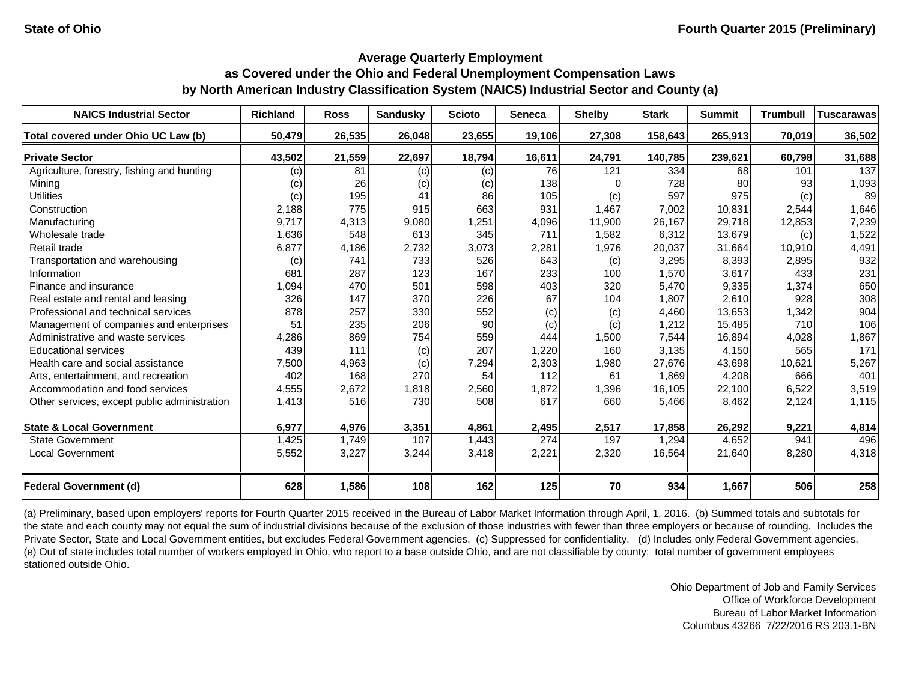| <b>NAICS Industrial Sector</b>               | <b>Richland</b> | <b>Ross</b> | <b>Sandusky</b> | <b>Scioto</b> | Seneca | <b>Shelby</b> | <b>Stark</b> | <b>Summit</b> | <b>Trumbull</b> | <b>Tuscarawas</b> |
|----------------------------------------------|-----------------|-------------|-----------------|---------------|--------|---------------|--------------|---------------|-----------------|-------------------|
| Total covered under Ohio UC Law (b)          | 50,479          | 26,535      | 26,048          | 23,655        | 19,106 | 27,308        | 158,643      | 265,913       | 70,019          | 36,502            |
| <b>Private Sector</b>                        | 43,502          | 21,559      | 22,697          | 18,794        | 16,611 | 24,791        | 140,785      | 239,621       | 60,798          | 31,688            |
| Agriculture, forestry, fishing and hunting   | (c)             | 81          | (c)             | (c)           | 76     | 121           | 334          | 68            | 101             | 137               |
| Mining                                       | (c)             | 26          | (c)             | (c)           | 138    | ∩             | 728          | 80            | 93              | 1,093             |
| <b>Utilities</b>                             | (c)             | 195         | 41              | 86            | 105    | (c)           | 597          | 975           | (c)             | 89                |
| Construction                                 | 2,188           | 775         | 915             | 663           | 931    | 1,467         | 7,002        | 10,831        | 2,544           | 1,646             |
| Manufacturing                                | 9,717           | 4,313       | 9,080           | 1,251         | 4,096  | 11,900        | 26,167       | 29,718        | 12,853          | 7,239             |
| Wholesale trade                              | 1,636           | 548         | 613             | 345           | 711    | 1,582         | 6,312        | 13,679        | (c)             | 1,522             |
| Retail trade                                 | 6,877           | 4,186       | 2,732           | 3,073         | 2,281  | 1,976         | 20,037       | 31,664        | 10,910          | 4,491             |
| Transportation and warehousing               | (c)             | 741         | 733             | 526           | 643    | (c)           | 3,295        | 8,393         | 2,895           | 932               |
| Information                                  | 681             | 287         | 123             | 167           | 233    | 100           | 1,570        | 3,617         | 433             | 231               |
| Finance and insurance                        | 1,094           | 470         | 501             | 598           | 403    | 320           | 5,470        | 9,335         | 1,374           | 650               |
| Real estate and rental and leasing           | 326             | 147         | 370             | 226           | 67     | 104           | 1,807        | 2,610         | 928             | 308               |
| Professional and technical services          | 878             | 257         | 330             | 552           | (c)    | (c)           | 4,460        | 13,653        | 1,342           | 904               |
| Management of companies and enterprises      | 51              | 235         | 206             | 90            | (c)    | (c)           | 1,212        | 15,485        | 710             | 106               |
| Administrative and waste services            | 4,286           | 869         | 754             | 559           | 444    | 1,500         | 7,544        | 16,894        | 4,028           | 1,867             |
| <b>Educational services</b>                  | 439             | 111         | (c)             | 207           | 1,220  | 160           | 3,135        | 4,150         | 565             | 171               |
| Health care and social assistance            | 7,500           | 4,963       | (c)             | 7,294         | 2,303  | 1,980         | 27,676       | 43,698        | 10,621          | 5,267             |
| Arts, entertainment, and recreation          | 402             | 168         | 270             | 54            | 112    | 61            | 1,869        | 4,208         | 666             | 401               |
| Accommodation and food services              | 4,555           | 2,672       | 1,818           | 2,560         | 1,872  | 1,396         | 16,105       | 22,100        | 6,522           | 3,519             |
| Other services, except public administration | 1,413           | 516         | 730             | 508           | 617    | 660           | 5,466        | 8,462         | 2,124           | 1,115             |
| <b>State &amp; Local Government</b>          | 6,977           | 4,976       | 3,351           | 4,861         | 2,495  | 2,517         | 17,858       | 26,292        | 9,221           | 4,814             |
| <b>State Government</b>                      | 1,425           | 1,749       | 107             | 1,443         | 274    | 197           | 1,294        | 4,652         | 941             | 496               |
| <b>Local Government</b>                      | 5,552           | 3,227       | 3,244           | 3,418         | 2,221  | 2,320         | 16,564       | 21,640        | 8,280           | 4,318             |
| <b>Federal Government (d)</b>                | 628             | 1,586       | 108             | 162           | 125    | 70            | 934          | 1,667         | 506             | 258               |

(a) Preliminary, based upon employers' reports for Fourth Quarter 2015 received in the Bureau of Labor Market Information through April, 1, 2016. (b) Summed totals and subtotals for the state and each county may not equal the sum of industrial divisions because of the exclusion of those industries with fewer than three employers or because of rounding. Includes the Private Sector, State and Local Government entities, but excludes Federal Government agencies. (c) Suppressed for confidentiality. (d) Includes only Federal Government agencies. (e) Out of state includes total number of workers employed in Ohio, who report to a base outside Ohio, and are not classifiable by county; total number of government employees stationed outside Ohio.